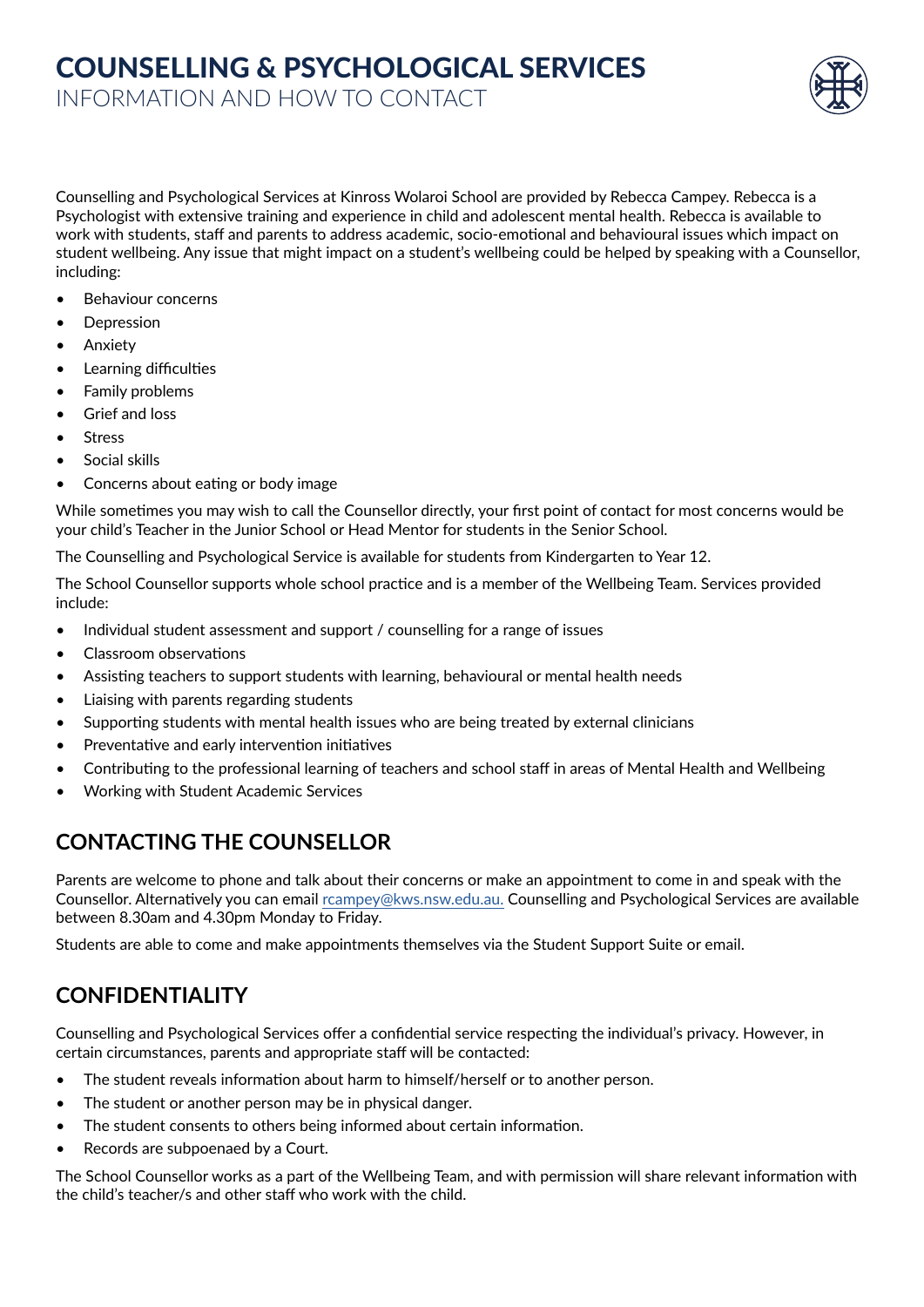# COUNSELLING & PSYCHOLOGICAL SERVICES

INFORMATION AND HOW TO CONTACT

Counselling and Psychological Services at Kinross Wolaroi School are provided by Rebecca Campey. Rebecca is a Psychologist with extensive training and experience in child and adolescent mental health. Rebecca is available to work with students, staff and parents to address academic, socio-emotional and behavioural issues which impact on student wellbeing. Any issue that might impact on a student's wellbeing could be helped by speaking with a Counsellor, including:

- Behaviour concerns
- **Depression**
- **Anxiety**
- Learning difficulties
- Family problems
- Grief and loss
- **Stress**
- Social skills
- Concerns about eating or body image

While sometimes you may wish to call the Counsellor directly, your first point of contact for most concerns would be your child's Teacher in the Junior School or Head Mentor for students in the Senior School.

The Counselling and Psychological Service is available for students from Kindergarten to Year 12.

The School Counsellor supports whole school practice and is a member of the Wellbeing Team. Services provided include:

- Individual student assessment and support / counselling for a range of issues
- Classroom observations
- Assisting teachers to support students with learning, behavioural or mental health needs
- Liaising with parents regarding students
- Supporting students with mental health issues who are being treated by external clinicians
- Preventative and early intervention initiatives
- Contributing to the professional learning of teachers and school staff in areas of Mental Health and Wellbeing
- Working with Student Academic Services

#### **CONTACTING THE COUNSELLOR**

Parents are welcome to phone and talk about their concerns or make an appointment to come in and speak with the Counsellor. Alternatively you can email [rcampey@kws.nsw.edu.au](mailto:rcampey%40kws.nsw.edu.au?subject=). Counselling and Psychological Services are available between 8.30am and 4.30pm Monday to Friday.

Students are able to come and make appointments themselves via the Student Support Suite or email.

#### **CONFIDENTIALITY**

Counselling and Psychological Services offer a confidential service respecting the individual's privacy. However, in certain circumstances, parents and appropriate staff will be contacted:

- The student reveals information about harm to himself/herself or to another person.
- The student or another person may be in physical danger.
- The student consents to others being informed about certain information.
- Records are subpoenaed by a Court.

The School Counsellor works as a part of the Wellbeing Team, and with permission will share relevant information with the child's teacher/s and other staff who work with the child.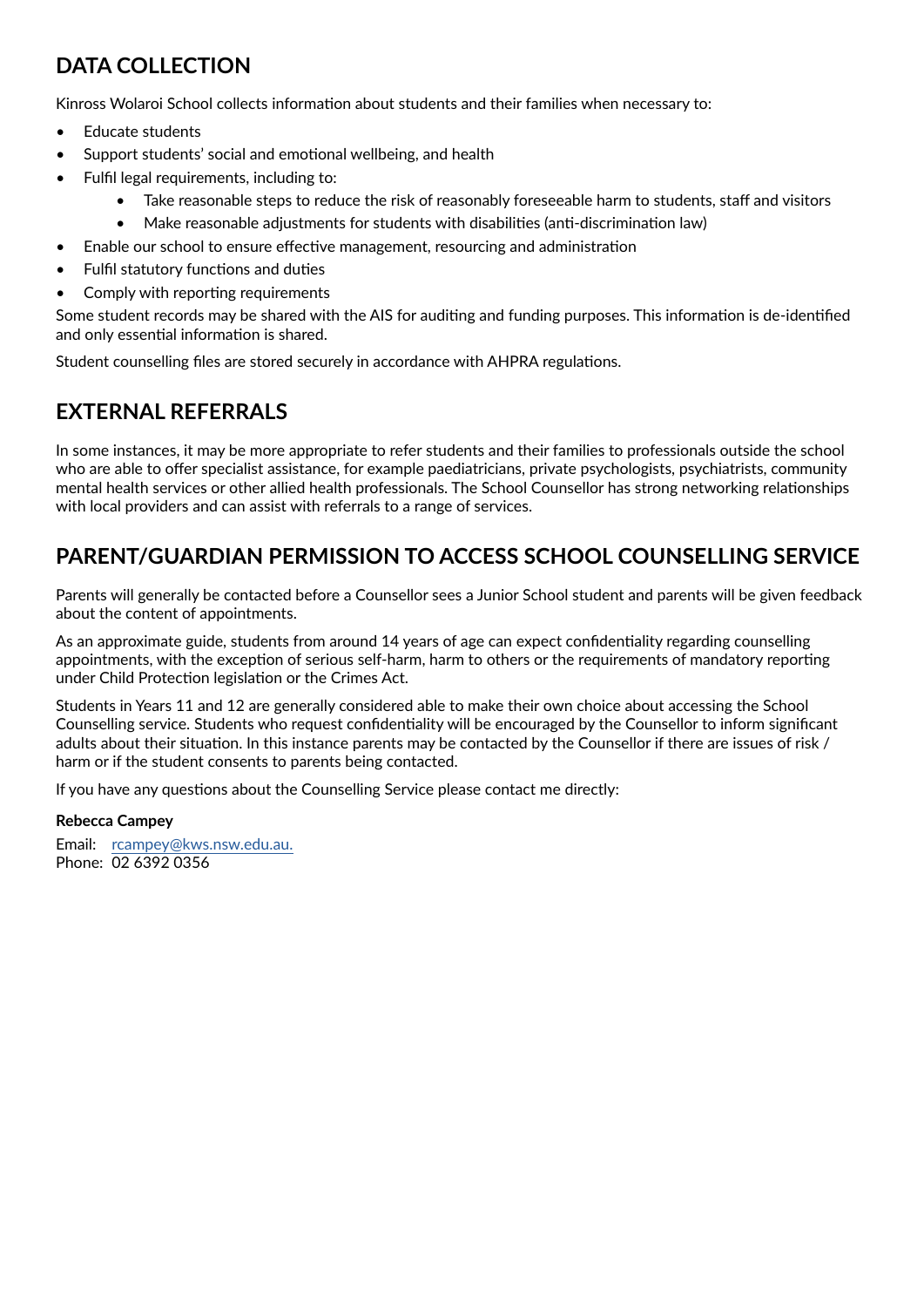#### **DATA COLLECTION**

Kinross Wolaroi School collects information about students and their families when necessary to:

- Educate students
- Support students' social and emotional wellbeing, and health
- Fulfil legal requirements, including to:
	- Take reasonable steps to reduce the risk of reasonably foreseeable harm to students, staff and visitors
	- Make reasonable adjustments for students with disabilities (anti-discrimination law)
- Enable our school to ensure effective management, resourcing and administration
- Fulfil statutory functions and duties
- Comply with reporting requirements

Some student records may be shared with the AIS for auditing and funding purposes. This information is de-identified and only essential information is shared.

Student counselling files are stored securely in accordance with AHPRA regulations.

### **EXTERNAL REFERRALS**

In some instances, it may be more appropriate to refer students and their families to professionals outside the school who are able to offer specialist assistance, for example paediatricians, private psychologists, psychiatrists, community mental health services or other allied health professionals. The School Counsellor has strong networking relationships with local providers and can assist with referrals to a range of services.

#### **PARENT/GUARDIAN PERMISSION TO ACCESS SCHOOL COUNSELLING SERVICE**

Parents will generally be contacted before a Counsellor sees a Junior School student and parents will be given feedback about the content of appointments.

As an approximate guide, students from around 14 years of age can expect confidentiality regarding counselling appointments, with the exception of serious self-harm, harm to others or the requirements of mandatory reporting under Child Protection legislation or the Crimes Act.

Students in Years 11 and 12 are generally considered able to make their own choice about accessing the School Counselling service. Students who request confidentiality will be encouraged by the Counsellor to inform significant adults about their situation. In this instance parents may be contacted by the Counsellor if there are issues of risk / harm or if the student consents to parents being contacted.

If you have any questions about the Counselling Service please contact me directly:

#### **Rebecca Campey**

Email: [rcampey@kws.nsw.edu.au.](mailto:rcampey%40kws.nsw.edu.au?subject=) Phone: 02 6392 0356